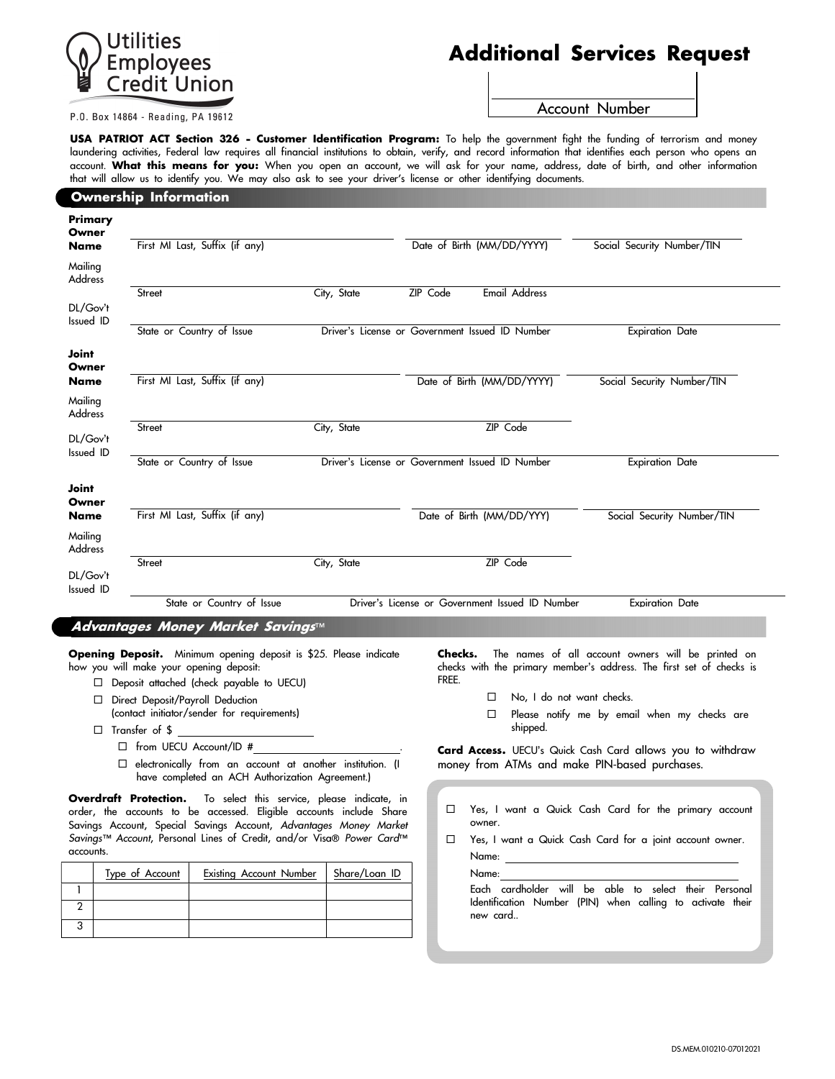

# Additional Services Request

P.O. Box 14864 - Reading, PA 19612

Account Number

USA PATRIOT ACT Section 326 - Customer Identification Program: To help the government fight the funding of terrorism and money laundering activities, Federal law requires all financial institutions to obtain, verify, and record information that identifies each person who opens an account. What this means for you: When you open an account, we will ask for your name, address, date of birth, and other information that will allow us to identify you. We may also ask to see your driver's license or other identifying documents.

## Ownership Information

| Primary<br>Owner          |                                |                                                 |                                                 |                        |                            |
|---------------------------|--------------------------------|-------------------------------------------------|-------------------------------------------------|------------------------|----------------------------|
| <b>Name</b>               | First MI Last, Suffix (if any) |                                                 | Date of Birth (MM/DD/YYYY)                      |                        | Social Security Number/TIN |
| Mailing<br>Address        |                                |                                                 |                                                 |                        |                            |
|                           | Street                         | City, State                                     | ZIP Code                                        | <b>Email Address</b>   |                            |
| DL/Gov't<br>Issued ID     |                                |                                                 |                                                 |                        |                            |
|                           | State or Country of Issue      |                                                 | Driver's License or Government Issued ID Number |                        | <b>Expiration Date</b>     |
| Joint<br>Owner            |                                |                                                 |                                                 |                        |                            |
| <b>Name</b>               | First MI Last, Suffix (if any) |                                                 | Date of Birth (MM/DD/YYYY)                      |                        | Social Security Number/TIN |
| Mailing<br><b>Address</b> |                                |                                                 |                                                 |                        |                            |
|                           | Street                         | City, State                                     |                                                 | ZIP Code               |                            |
| DL/Gov't<br>Issued ID     |                                |                                                 |                                                 |                        |                            |
|                           | State or Country of Issue      | Driver's License or Government Issued ID Number |                                                 | <b>Expiration Date</b> |                            |
| Joint<br>Owner            |                                |                                                 |                                                 |                        |                            |
| <b>Name</b>               | First MI Last, Suffix (if any) |                                                 | Date of Birth (MM/DD/YYY)                       |                        | Social Security Number/TIN |
| Mailing<br>Address        |                                |                                                 |                                                 |                        |                            |
|                           | Street                         | City, State                                     |                                                 | ZIP Code               |                            |
| DL/Gov't<br>Issued ID     |                                |                                                 |                                                 |                        |                            |
|                           | State or Country of Issue      |                                                 | Driver's License or Government Issued ID Number |                        | <b>Expiration Date</b>     |

#### Advantages Money Market Savings™

Opening Deposit. Minimum opening deposit is \$25. Please indicate how you will make your opening deposit:

- Deposit attached (check payable to UECU)
- D Direct Deposit/Payroll Deduction (contact initiator/sender for requirements)
- $\square$  Transfer of \$
	- $\Box$  from UECU Account/ID #
	- $\square$  electronically from an account at another institution. (I have completed an ACH Authorization Agreement.)

Overdraft Protection. To select this service, please indicate, in order, the accounts to be accessed. Eligible accounts include Share Savings Account, Special Savings Account, Advantages Money Market Savings™ Account, Personal Lines of Credit, and/or Visa® Power Card™ accounts.

| Type of Account | <b>Existing Account Number</b> | Share/Loan ID |
|-----------------|--------------------------------|---------------|
|                 |                                |               |
|                 |                                |               |
|                 |                                |               |

Checks. The names of all account owners will be printed on checks with the primary member's address. The first set of checks is FREE.

- □ No, I do not want checks.
- $\square$  Please notify me by email when my checks are shipped.

Card Access. UECU's Quick Cash Card allows you to withdraw money from ATMs and make PIN-based purchases.

- Yes, I want a Quick Cash Card for the primary account owner.
- Yes, I want a Quick Cash Card for a joint account owner.

Name: Name:

Each cardholder will be able to select their Personal Identification Number (PIN) when calling to activate their new card..